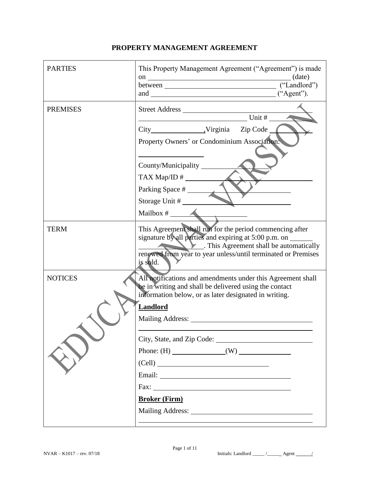| <b>PARTIES</b>  | This Property Management Agreement ("Agreement") is made                                                                                                                         |
|-----------------|----------------------------------------------------------------------------------------------------------------------------------------------------------------------------------|
| <b>PREMISES</b> | $Unit \#$                                                                                                                                                                        |
|                 | Property Owners' or Condominium Association.                                                                                                                                     |
|                 | County/Municipality                                                                                                                                                              |
|                 | Parking Space #                                                                                                                                                                  |
|                 | Storage Unit #                                                                                                                                                                   |
|                 |                                                                                                                                                                                  |
| <b>TERM</b>     | This Agreement shall run for the period commencing after<br>signature by all parties and expiring at 5:00 p.m. on<br>$\blacktriangleright$ This Agreement shall be automatically |
|                 | renewed from year to year unless/until terminated or Premises<br>is sold.                                                                                                        |
| <b>NOTICES</b>  | All notifications and amendments under this Agreement shall<br>be in writing and shall be delivered using the contact<br>information below, or as later designated in writing.   |
|                 | <b>Landlord</b>                                                                                                                                                                  |
|                 |                                                                                                                                                                                  |
|                 | City, State, and Zip Code:                                                                                                                                                       |
|                 | Phone: $(H)$ (W)                                                                                                                                                                 |
|                 | (Cell)                                                                                                                                                                           |
|                 |                                                                                                                                                                                  |
|                 | Fax: $\qquad \qquad$                                                                                                                                                             |
|                 | <b>Broker (Firm)</b>                                                                                                                                                             |
|                 |                                                                                                                                                                                  |
|                 |                                                                                                                                                                                  |

## **PROPERTY MANAGEMENT AGREEMENT**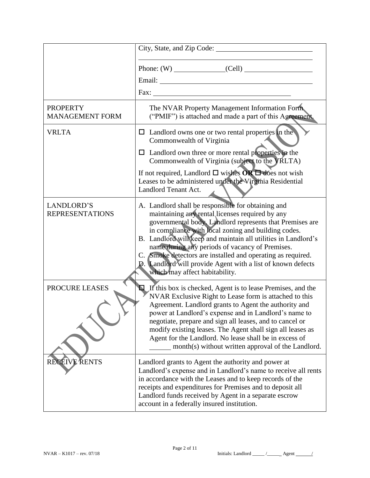|                                           | Email: <u>Alexander School (Alexander School)</u>                                                                                                                                                                                                                                                                                                                                                                                                                                                             |  |
|-------------------------------------------|---------------------------------------------------------------------------------------------------------------------------------------------------------------------------------------------------------------------------------------------------------------------------------------------------------------------------------------------------------------------------------------------------------------------------------------------------------------------------------------------------------------|--|
|                                           |                                                                                                                                                                                                                                                                                                                                                                                                                                                                                                               |  |
| <b>PROPERTY</b><br><b>MANAGEMENT FORM</b> | The NVAR Property Management Information Form.<br>("PMIF") is attached and made a part of this Agreement.                                                                                                                                                                                                                                                                                                                                                                                                     |  |
| <b>VRLTA</b>                              | $\Box$ Landlord owns one or two rental properties in the<br>Commonwealth of Virginia                                                                                                                                                                                                                                                                                                                                                                                                                          |  |
|                                           | $\Box$ Landlord own three or more rental properties in the<br>Commonwealth of Virginia (subject to the VRLTA)                                                                                                                                                                                                                                                                                                                                                                                                 |  |
|                                           | If not required, Landlord $\square$ wishes $OR \square$ does not wish<br>Leases to be administered under the Virginia Residential<br>Landlord Tenant Act.                                                                                                                                                                                                                                                                                                                                                     |  |
| LANDLORD'S<br><b>REPRESENTATIONS</b>      | A. Landlord shall be responsible for obtaining and<br>maintaining any rental licenses required by any<br>governmental body. Landlord represents that Premises are<br>in compliance with local zoning and building codes.<br>B. Landlord will keep and maintain all utilities in Landlord's<br>name during any periods of vacancy of Premises.<br>C. Smoke detectors are installed and operating as required.<br>D. Landlord will provide Agent with a list of known defects<br>which may affect habitability. |  |
| PROCURE LEASES                            | $\Box$ If this box is checked, Agent is to lease Premises, and the<br>NVAR Exclusive Right to Lease form is attached to this<br>Agreement. Landlord grants to Agent the authority and<br>power at Landlord's expense and in Landlord's name to<br>negotiate, prepare and sign all leases, and to cancel or<br>modify existing leases. The Agent shall sign all leases as<br>Agent for the Landlord. No lease shall be in excess of<br>month(s) without written approval of the Landlord.                      |  |
| <b>RECEIVE RENTS</b>                      | Landlord grants to Agent the authority and power at<br>Landlord's expense and in Landlord's name to receive all rents<br>in accordance with the Leases and to keep records of the<br>receipts and expenditures for Premises and to deposit all<br>Landlord funds received by Agent in a separate escrow<br>account in a federally insured institution.                                                                                                                                                        |  |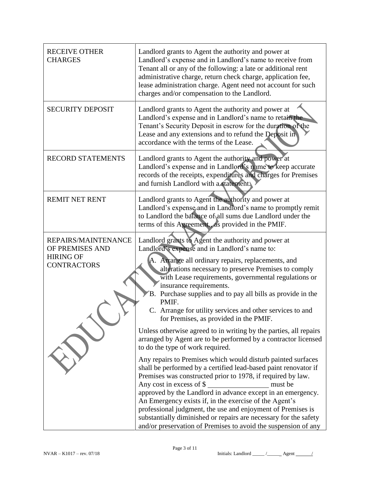| <b>RECEIVE OTHER</b><br><b>CHARGES</b>                                           | Landlord grants to Agent the authority and power at<br>Landlord's expense and in Landlord's name to receive from<br>Tenant all or any of the following: a late or additional rent<br>administrative charge, return check charge, application fee,<br>lease administration charge. Agent need not account for such<br>charges and/or compensation to the Landlord.                                                                                                                                                                                                                                                                                                                                                                                                                                                                                                                                                                                                                                                                                                                                                                                                                                                                      |  |
|----------------------------------------------------------------------------------|----------------------------------------------------------------------------------------------------------------------------------------------------------------------------------------------------------------------------------------------------------------------------------------------------------------------------------------------------------------------------------------------------------------------------------------------------------------------------------------------------------------------------------------------------------------------------------------------------------------------------------------------------------------------------------------------------------------------------------------------------------------------------------------------------------------------------------------------------------------------------------------------------------------------------------------------------------------------------------------------------------------------------------------------------------------------------------------------------------------------------------------------------------------------------------------------------------------------------------------|--|
| <b>SECURITY DEPOSIT</b>                                                          | Landlord grants to Agent the authority and power at<br>Landlord's expense and in Landlord's name to retain the<br>Tenant's Security Deposit in escrow for the duration of the<br>Lease and any extensions and to refund the Deposit in<br>accordance with the terms of the Lease.                                                                                                                                                                                                                                                                                                                                                                                                                                                                                                                                                                                                                                                                                                                                                                                                                                                                                                                                                      |  |
| <b>RECORD STATEMENTS</b>                                                         | Landlord grants to Agent the authority and power at<br>Landlord's expense and in Landlord's name to keep accurate<br>records of the receipts, expenditures and charges for Premises<br>and furnish Landlord with a statement!                                                                                                                                                                                                                                                                                                                                                                                                                                                                                                                                                                                                                                                                                                                                                                                                                                                                                                                                                                                                          |  |
| <b>REMIT NET RENT</b>                                                            | Landlord grants to Agent the authority and power at<br>Landlord's expense and in Landlord's name to promptly remit<br>to Landlord the balance of all sums due Landlord under the<br>terms of this Agreement., as provided in the PMIF.                                                                                                                                                                                                                                                                                                                                                                                                                                                                                                                                                                                                                                                                                                                                                                                                                                                                                                                                                                                                 |  |
| REPAIRS/MAINTENANCE<br>OF PREMISES AND<br><b>HIRING OF</b><br><b>CONTRACTORS</b> | Landlord grants to Agent the authority and power at<br>Landlord's expense and in Landlord's name to:<br>A. Arrange all ordinary repairs, replacements, and<br>alterations necessary to preserve Premises to comply<br>with Lease requirements, governmental regulations or<br>insurance requirements.<br>B. Purchase supplies and to pay all bills as provide in the<br>PMIF.<br>C. Arrange for utility services and other services to and<br>for Premises, as provided in the PMIF.<br>Unless otherwise agreed to in writing by the parties, all repairs<br>arranged by Agent are to be performed by a contractor licensed<br>to do the type of work required.<br>Any repairs to Premises which would disturb painted surfaces<br>shall be performed by a certified lead-based paint renovator if<br>Premises was constructed prior to 1978, if required by law.<br>Any cost in excess of \$<br>must be<br>approved by the Landlord in advance except in an emergency.<br>An Emergency exists if, in the exercise of the Agent's<br>professional judgment, the use and enjoyment of Premises is<br>substantially diminished or repairs are necessary for the safety<br>and/or preservation of Premises to avoid the suspension of any |  |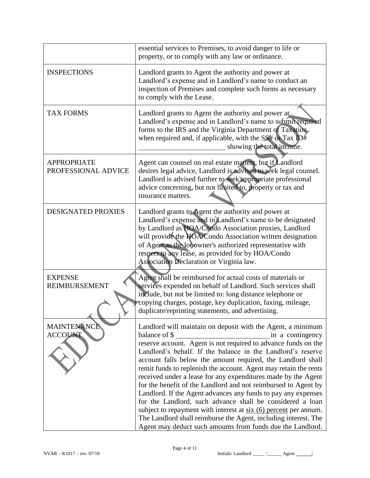|                                           | essential services to Premises, to avoid danger to life or<br>property, or to comply with any law or ordinance.                                                                                                                                                                                                                                                                                                                                                                                                                                                                                                                                                                                                                                       |
|-------------------------------------------|-------------------------------------------------------------------------------------------------------------------------------------------------------------------------------------------------------------------------------------------------------------------------------------------------------------------------------------------------------------------------------------------------------------------------------------------------------------------------------------------------------------------------------------------------------------------------------------------------------------------------------------------------------------------------------------------------------------------------------------------------------|
| <b>INSPECTIONS</b>                        | Landlord grants to Agent the authority and power at<br>Landlord's expense and in Landlord's name to conduct an<br>inspection of Premises and complete such forms as necessary<br>to comply with the Lease.                                                                                                                                                                                                                                                                                                                                                                                                                                                                                                                                            |
| <b>TAX FORMS</b>                          | Landlord grants to Agent the authority and power at<br>Landlord's expense and in Landlord's name to submit required<br>forms to the IRS and the Virginia Department of Taxation<br>when required and, if applicable, with the $SS#$ or Tax ID#<br>showing the total income.                                                                                                                                                                                                                                                                                                                                                                                                                                                                           |
| <b>APPROPRIATE</b><br>PROFESSIONAL ADVICE | Agent can counsel on real estate matters, but if Landlord<br>desires legal advice, Landlord is advised to seek legal counsel.<br>Landlord is advised further to seek appropriate professional<br>advice concerning, but not limited to, property or tax and<br>insurance matters.                                                                                                                                                                                                                                                                                                                                                                                                                                                                     |
| DESIGNATED PROXIES                        | Landlord grants to Agent the authority and power at<br>Landlord's expense and in Landlord's name to be designated<br>by Landlord as HOA/Condo Association proxies, Landlord<br>will provide the HOA/Condo Association written designation<br>of Agent as the lot owner's authorized representative with<br>respect to any lease, as provided for by HOA/Condo<br>Association Declaration or Virginia law.                                                                                                                                                                                                                                                                                                                                             |
| <b>EXPENSE</b><br><b>REIMBURSEMENT</b>    | Agent shall be reimbursed for actual costs of materials or<br>services expended on behalf of Landlord. Such services shall<br>include, but not be limited to: long distance telephone or<br>copying charges, postage, key duplication, faxing, mileage,<br>duplicate/reprinting statements, and advertising.                                                                                                                                                                                                                                                                                                                                                                                                                                          |
| <b>MAINTENANCE</b><br><b>ACCOUNT</b>      | Landlord will maintain on deposit with the Agent, a minimum<br>balance of \$<br>Landlord's behalf. If the balance in the Landlord's reserve<br>account falls below the amount required, the Landlord shall<br>remit funds to replenish the account. Agent may retain the rents<br>received under a lease for any expenditures made by the Agent<br>for the benefit of the Landlord and not reimbursed to Agent by<br>Landlord. If the Agent advances any funds to pay any expenses<br>for the Landlord, such advance shall be considered a loan<br>subject to repayment with interest at $six(6)$ percent per annum.<br>The Landlord shall reimburse the Agent, including interest. The<br>Agent may deduct such amounts from funds due the Landlord. |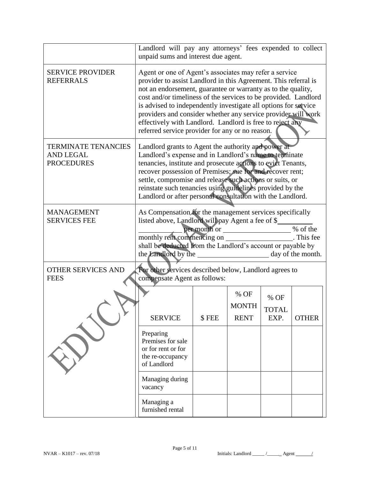|                                                                                                                                    | Landlord will pay any attorneys' fees expended to collect<br>unpaid sums and interest due agent.                                                                                                                                                                                                                                                                                                                                                                                                                 |       |                                     |                              |              |
|------------------------------------------------------------------------------------------------------------------------------------|------------------------------------------------------------------------------------------------------------------------------------------------------------------------------------------------------------------------------------------------------------------------------------------------------------------------------------------------------------------------------------------------------------------------------------------------------------------------------------------------------------------|-------|-------------------------------------|------------------------------|--------------|
| <b>SERVICE PROVIDER</b><br><b>REFERRALS</b>                                                                                        | Agent or one of Agent's associates may refer a service<br>provider to assist Landlord in this Agreement. This referral is<br>not an endorsement, guarantee or warranty as to the quality,<br>cost and/or timeliness of the services to be provided. Landlord<br>is advised to independently investigate all options for service<br>providers and consider whether any service provider will work<br>effectively with Landlord. Landlord is free to reject any<br>referred service provider for any or no reason. |       |                                     |                              |              |
| <b>TERMINATE TENANCIES</b><br><b>AND LEGAL</b><br><b>PROCEDURES</b>                                                                | Landlord grants to Agent the authority and power at<br>Landlord's expense and in Landlord's name to terminate<br>tenancies, institute and prosecute actions to evict Tenants,<br>recover possession of Premises; sue for and recover rent;<br>settle, compromise and release such actions or suits, or<br>reinstate such tenancies using guidelines provided by the<br>Landlord or after personal consultation with the Landlord.                                                                                |       |                                     |                              |              |
| <b>MANAGEMENT</b><br><b>SERVICES FEE</b>                                                                                           | As Compensation for the management services specifically<br>listed above, Landlord will pay Agent a fee of \$<br>per month or ____________________% of the<br>monthly rent commencing on _____________________. This fee<br>shall be deducted from the Landlord's account or payable by                                                                                                                                                                                                                          |       |                                     |                              |              |
| <b>OTHER SERVICES AND</b><br>For other services described below, Landlord agrees to<br>compensate Agent as follows:<br><b>FEES</b> |                                                                                                                                                                                                                                                                                                                                                                                                                                                                                                                  |       |                                     |                              |              |
|                                                                                                                                    | <b>SERVICE</b>                                                                                                                                                                                                                                                                                                                                                                                                                                                                                                   | \$FEE | % OF<br><b>MONTH</b><br><b>RENT</b> | % OF<br><b>TOTAL</b><br>EXP. | <b>OTHER</b> |
|                                                                                                                                    | Preparing<br>Premises for sale<br>or for rent or for<br>the re-occupancy<br>of Landlord                                                                                                                                                                                                                                                                                                                                                                                                                          |       |                                     |                              |              |
|                                                                                                                                    | Managing during<br>vacancy                                                                                                                                                                                                                                                                                                                                                                                                                                                                                       |       |                                     |                              |              |
|                                                                                                                                    | Managing a<br>furnished rental                                                                                                                                                                                                                                                                                                                                                                                                                                                                                   |       |                                     |                              |              |

 $NVAR - K1017 - rev. 07/18$  Initials: Landlord \_\_\_\_\_\_ /\_\_\_\_\_\_ Agent /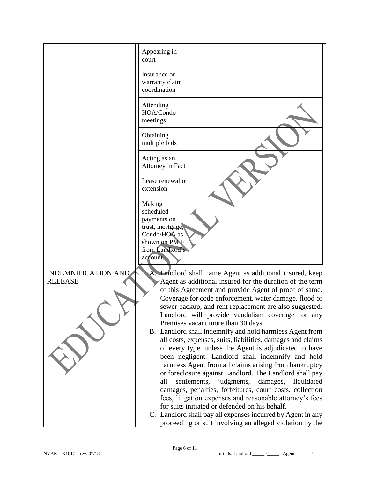

NVAR – K1017 – rev. 07/18 **Initials: Landlord \_\_\_\_\_ / \_\_\_\_\_** Agent \_\_\_\_\_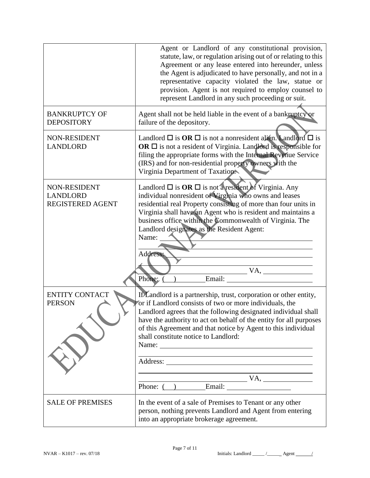|                                                            | Agent or Landlord of any constitutional provision,<br>statute, law, or regulation arising out of or relating to this<br>Agreement or any lease entered into hereunder, unless<br>the Agent is adjudicated to have personally, and not in a<br>representative capacity violated the law, statue or<br>provision. Agent is not required to employ counsel to<br>represent Landlord in any such proceeding or suit.                                                                                       |
|------------------------------------------------------------|--------------------------------------------------------------------------------------------------------------------------------------------------------------------------------------------------------------------------------------------------------------------------------------------------------------------------------------------------------------------------------------------------------------------------------------------------------------------------------------------------------|
| <b>BANKRUPTCY OF</b><br><b>DEPOSITORY</b>                  | Agent shall not be held liable in the event of a bankruptcy or<br>failure of the depository.                                                                                                                                                                                                                                                                                                                                                                                                           |
| NON-RESIDENT<br><b>LANDLORD</b>                            | Landlord $\Box$ is $OR \Box$ is not a nonresident alien. Landlord $\Box$ is<br>OR $\Box$ is not a resident of Virginia. Landlord is responsible for<br>filing the appropriate forms with the Internal Revenue Service<br>(IRS) and for non-residential property owners with the<br>Virginia Department of Taxation                                                                                                                                                                                     |
| NON-RESIDENT<br><b>LANDLORD</b><br><b>REGISTERED AGENT</b> | Landlord $\Box$ is <b>OR</b> $\Box$ is not a resident of Virginia. Any<br>individual nonresident of Virginia who owns and leases<br>residential real Property consisting of more than four units in<br>Virginia shall have an Agent who is resident and maintains a<br>business office within the Commonwealth of Virginia. The<br>Landlord designates as the Resident Agent:<br>Name:<br>Address:<br>VA,<br>Phone:<br>Email:                                                                          |
| <b>ENTITY CONTACT</b><br><b>PERSON</b>                     | If Landlord is a partnership, trust, corporation or other entity,<br>or if Landlord consists of two or more individuals, the<br>Landlord agrees that the following designated individual shall<br>have the authority to act on behalf of the entity for all purposes<br>of this Agreement and that notice by Agent to this individual<br>shall constitute notice to Landlord:<br><u> 1980 - Andrea Station Barbara, actor a component de la componentación de la componentación de la componentaci</u> |
|                                                            | Phone: ( ) Email: VA,                                                                                                                                                                                                                                                                                                                                                                                                                                                                                  |
| <b>SALE OF PREMISES</b>                                    | In the event of a sale of Premises to Tenant or any other<br>person, nothing prevents Landlord and Agent from entering<br>into an appropriate brokerage agreement.                                                                                                                                                                                                                                                                                                                                     |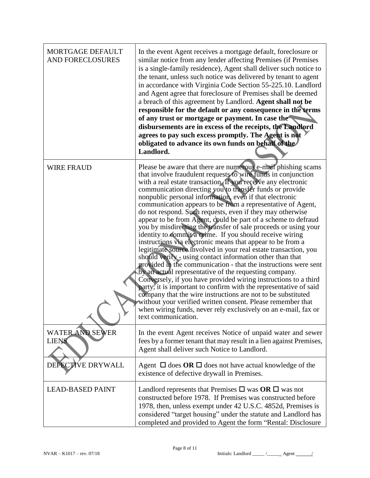| MORTGAGE DEFAULT<br><b>AND FORECLOSURES</b> | In the event Agent receives a mortgage default, foreclosure or<br>similar notice from any lender affecting Premises (if Premises<br>is a single-family residence), Agent shall deliver such notice to<br>the tenant, unless such notice was delivered by tenant to agent<br>in accordance with Virginia Code Section 55-225.10. Landlord<br>and Agent agree that foreclosure of Premises shall be deemed<br>a breach of this agreement by Landlord. Agent shall not be<br>responsible for the default or any consequence in the terms<br>of any trust or mortgage or payment. In case the<br>disbursements are in excess of the receipts, the Landlord<br>agrees to pay such excess promptly. The Agent is not<br>obligated to advance its own funds on behalf of the<br>Landlord.                                                                                                                                                                                                                                                                                                                                                                                                                                                                                                                                                            |
|---------------------------------------------|-----------------------------------------------------------------------------------------------------------------------------------------------------------------------------------------------------------------------------------------------------------------------------------------------------------------------------------------------------------------------------------------------------------------------------------------------------------------------------------------------------------------------------------------------------------------------------------------------------------------------------------------------------------------------------------------------------------------------------------------------------------------------------------------------------------------------------------------------------------------------------------------------------------------------------------------------------------------------------------------------------------------------------------------------------------------------------------------------------------------------------------------------------------------------------------------------------------------------------------------------------------------------------------------------------------------------------------------------|
| <b>WIRE FRAUD</b>                           | Please be aware that there are numerous e-mail phishing scams<br>that involve fraudulent requests to wire funds in conjunction<br>with a real estate transaction. If you receive any electronic<br>communication directing you to transfer funds or provide<br>nonpublic personal information, even if that electronic<br>communication appears to be from a representative of Agent,<br>do not respond. Such requests, even if they may otherwise<br>appear to be from Agent, could be part of a scheme to defraud<br>you by misdirecting the transfer of sale proceeds or using your<br>identity to commit a crime. If you should receive wiring<br>instructions via electronic means that appear to be from a<br>legitimate source involved in your real estate transaction, you<br>should verify - using contact information other than that<br>provided in the communication - that the instructions were sent<br>by an actual representative of the requesting company.<br>Conversely, if you have provided wiring instructions to a third<br>party, it is important to confirm with the representative of said<br>company that the wire instructions are not to be substituted<br>without your verified written consent. Please remember that<br>when wiring funds, never rely exclusively on an e-mail, fax or<br>text communication. |
| WATER AND SEWER<br><b>LIENS</b>             | In the event Agent receives Notice of unpaid water and sewer<br>fees by a former tenant that may result in a lien against Premises,<br>Agent shall deliver such Notice to Landlord.                                                                                                                                                                                                                                                                                                                                                                                                                                                                                                                                                                                                                                                                                                                                                                                                                                                                                                                                                                                                                                                                                                                                                           |
| DEFECTIVE DRYWALL                           | Agent $\Box$ does OR $\Box$ does not have actual knowledge of the<br>existence of defective drywall in Premises.                                                                                                                                                                                                                                                                                                                                                                                                                                                                                                                                                                                                                                                                                                                                                                                                                                                                                                                                                                                                                                                                                                                                                                                                                              |
| <b>LEAD-BASED PAINT</b>                     | Landlord represents that Premises $\Box$ was OR $\Box$ was not<br>constructed before 1978. If Premises was constructed before<br>1978, then, unless exempt under 42 U.S.C. 4852d, Premises is<br>considered "target housing" under the statute and Landlord has<br>completed and provided to Agent the form "Rental: Disclosure                                                                                                                                                                                                                                                                                                                                                                                                                                                                                                                                                                                                                                                                                                                                                                                                                                                                                                                                                                                                               |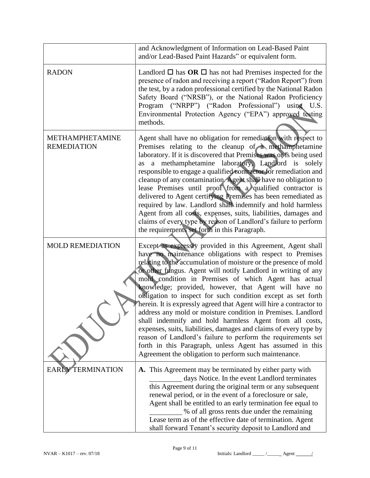|                                       | and Acknowledgment of Information on Lead-Based Paint<br>and/or Lead-Based Paint Hazards" or equivalent form.                                                                                                                                                                                                                                                                                                                                                                                                                                                                                                                                                                                                                                                                                                                                                                                              |
|---------------------------------------|------------------------------------------------------------------------------------------------------------------------------------------------------------------------------------------------------------------------------------------------------------------------------------------------------------------------------------------------------------------------------------------------------------------------------------------------------------------------------------------------------------------------------------------------------------------------------------------------------------------------------------------------------------------------------------------------------------------------------------------------------------------------------------------------------------------------------------------------------------------------------------------------------------|
| <b>RADON</b>                          | Landlord $\Box$ has $OR \Box$ has not had Premises inspected for the<br>presence of radon and receiving a report ("Radon Report") from<br>the test, by a radon professional certified by the National Radon<br>Safety Board ("NRSB"), or the National Radon Proficiency<br>Program ("NRPP") ("Radon Professional") using U.S.<br>Environmental Protection Agency ("EPA") approved testing<br>methods.                                                                                                                                                                                                                                                                                                                                                                                                                                                                                                      |
| METHAMPHETAMINE<br><b>REMEDIATION</b> | Agent shall have no obligation for remediation with respect to<br>Premises relating to the cleanup of a methamphetamine<br>laboratory. If it is discovered that Premises was or is being used<br>a methamphetamine laboratory, Landlord is solely<br>as<br>responsible to engage a qualified contractor for remediation and<br>cleanup of any contamination. Agent shall have no obligation to<br>lease Premises until proof from a qualified contractor is<br>delivered to Agent certifying Premises has been remediated as<br>required by law. Landlord shall indemnify and hold harmless<br>Agent from all costs, expenses, suits, liabilities, damages and<br>claims of every type by reason of Landlord's failure to perform<br>the requirements set forth in this Paragraph.                                                                                                                         |
| <b>MOLD REMEDIATION</b>               | Except as expressly provided in this Agreement, Agent shall<br>have no maintenance obligations with respect to Premises<br>relating to the accumulation of moisture or the presence of mold<br>or other fungus. Agent will notify Landlord in writing of any<br>mold condition in Premises of which Agent has actual<br>knowledge; provided, however, that Agent will have no<br>obligation to inspect for such condition except as set forth<br>herein. It is expressly agreed that Agent will hire a contractor to<br>address any mold or moisture condition in Premises. Landlord<br>shall indemnify and hold harmless Agent from all costs,<br>expenses, suits, liabilities, damages and claims of every type by<br>reason of Landlord's failure to perform the requirements set<br>forth in this Paragraph, unless Agent has assumed in this<br>Agreement the obligation to perform such maintenance. |
| TERMINATION<br><b>EARLY</b>           | A. This Agreement may be terminated by either party with<br>days Notice. In the event Landlord terminates<br>this Agreement during the original term or any subsequent<br>renewal period, or in the event of a foreclosure or sale,<br>Agent shall be entitled to an early termination fee equal to<br>% of all gross rents due under the remaining<br>Lease term as of the effective date of termination. Agent<br>shall forward Tenant's security deposit to Landlord and                                                                                                                                                                                                                                                                                                                                                                                                                                |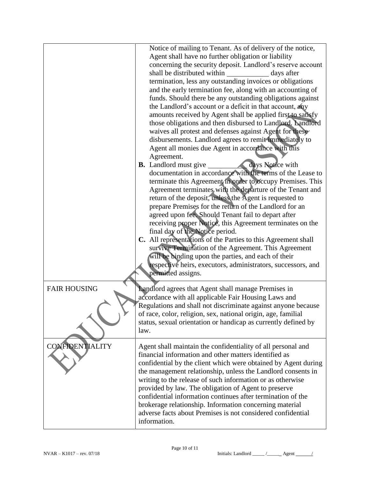|                        | Notice of mailing to Tenant. As of delivery of the notice,<br>Agent shall have no further obligation or liability<br>concerning the security deposit. Landlord's reserve account<br>shall be distributed within<br>days after<br>termination, less any outstanding invoices or obligations<br>and the early termination fee, along with an accounting of<br>funds. Should there be any outstanding obligations against<br>the Landlord's account or a deficit in that account, any<br>amounts received by Agent shall be applied first to satisfy<br>those obligations and then disbursed to Landlord. Landlord<br>waives all protest and defenses against Agent for these<br>disbursements. Landlord agrees to remit immediately to<br>Agent all monies due Agent in accordance with this<br>Agreement.<br>days Notice with<br><b>B.</b> Landlord must give<br>documentation in accordance with the terms of the Lease to<br>terminate this Agreement in order to occupy Premises. This<br>Agreement terminates with the departure of the Tenant and<br>return of the deposit, unless the Agent is requested to<br>prepare Premises for the return of the Landlord for an<br>agreed upon fee. Should Tenant fail to depart after<br>receiving proper Notice, this Agreement terminates on the<br>final day of the Notice period.<br>C. All representations of the Parties to this Agreement shall<br>survive Termination of the Agreement. This Agreement<br>will be binding upon the parties, and each of their<br>respective heirs, executors, administrators, successors, and<br>permitted assigns. |
|------------------------|---------------------------------------------------------------------------------------------------------------------------------------------------------------------------------------------------------------------------------------------------------------------------------------------------------------------------------------------------------------------------------------------------------------------------------------------------------------------------------------------------------------------------------------------------------------------------------------------------------------------------------------------------------------------------------------------------------------------------------------------------------------------------------------------------------------------------------------------------------------------------------------------------------------------------------------------------------------------------------------------------------------------------------------------------------------------------------------------------------------------------------------------------------------------------------------------------------------------------------------------------------------------------------------------------------------------------------------------------------------------------------------------------------------------------------------------------------------------------------------------------------------------------------------------------------------------------------------------------------|
| <b>FAIR HOUSING</b>    | Landlord agrees that Agent shall manage Premises in<br>accordance with all applicable Fair Housing Laws and<br>Regulations and shall not discriminate against anyone because<br>of race, color, religion, sex, national origin, age, familial<br>status, sexual orientation or handicap as currently defined by<br>law.                                                                                                                                                                                                                                                                                                                                                                                                                                                                                                                                                                                                                                                                                                                                                                                                                                                                                                                                                                                                                                                                                                                                                                                                                                                                                 |
| <b>CONFIDENTIALITY</b> | Agent shall maintain the confidentiality of all personal and<br>financial information and other matters identified as<br>confidential by the client which were obtained by Agent during<br>the management relationship, unless the Landlord consents in<br>writing to the release of such information or as otherwise<br>provided by law. The obligation of Agent to preserve<br>confidential information continues after termination of the<br>brokerage relationship. Information concerning material<br>adverse facts about Premises is not considered confidential<br>information.                                                                                                                                                                                                                                                                                                                                                                                                                                                                                                                                                                                                                                                                                                                                                                                                                                                                                                                                                                                                                  |